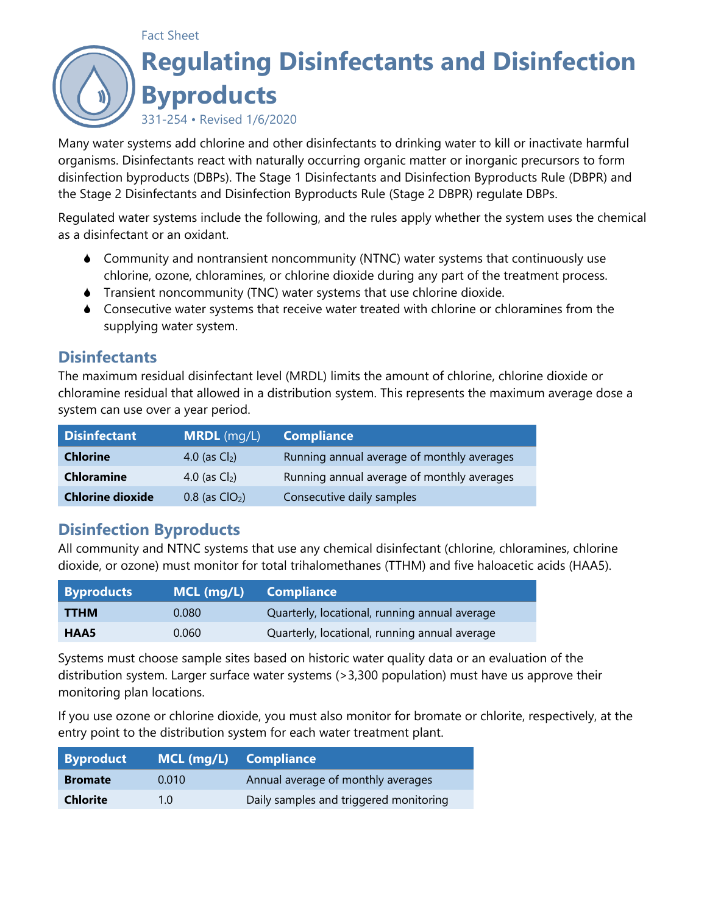## Fact Sheet **Regulating Disinfectants and Disinfection Byproducts** 331-254 • Revised 1/6/2020

Many water systems add chlorine and other disinfectants to drinking water to kill or inactivate harmful organisms. Disinfectants react with naturally occurring organic matter or inorganic precursors to form disinfection byproducts (DBPs). The Stage 1 Disinfectants and Disinfection Byproducts Rule (DBPR) and the Stage 2 Disinfectants and Disinfection Byproducts Rule (Stage 2 DBPR) regulate DBPs.

Regulated water systems include the following, and the rules apply whether the system uses the chemical as a disinfectant or an oxidant.

- Community and nontransient noncommunity (NTNC) water systems that continuously use chlorine, ozone, chloramines, or chlorine dioxide during any part of the treatment process.
- Transient noncommunity (TNC) water systems that use chlorine dioxide.
- Consecutive water systems that receive water treated with chlorine or chloramines from the supplying water system.

#### **Disinfectants**

The maximum residual disinfectant level (MRDL) limits the amount of chlorine, chlorine dioxide or chloramine residual that allowed in a distribution system. This represents the maximum average dose a system can use over a year period.

| <b>Disinfectant</b>     | <b>MRDL</b> $(mq/L)$ | <b>Compliance</b>                          |  |
|-------------------------|----------------------|--------------------------------------------|--|
| <b>Chlorine</b>         | 4.0 (as $Cl2$ )      | Running annual average of monthly averages |  |
| <b>Chloramine</b>       | 4.0 (as $Cl2$ )      | Running annual average of monthly averages |  |
| <b>Chlorine dioxide</b> | $0.8$ (as $ClO2$ )   | Consecutive daily samples                  |  |

#### **Disinfection Byproducts**

All community and NTNC systems that use any chemical disinfectant (chlorine, chloramines, chlorine dioxide, or ozone) must monitor for total trihalomethanes (TTHM) and five haloacetic acids (HAA5).

| <b>Byproducts</b> | $MCL$ (mg/L) | <b>Compliance</b>                             |
|-------------------|--------------|-----------------------------------------------|
| <b>TTHM</b>       | 0.080        | Quarterly, locational, running annual average |
| HAA5              | 0.060        | Quarterly, locational, running annual average |

Systems must choose sample sites based on historic water quality data or an evaluation of the distribution system. Larger surface water systems (>3,300 population) must have us approve their monitoring plan locations.

If you use ozone or chlorine dioxide, you must also monitor for bromate or chlorite, respectively, at the entry point to the distribution system for each water treatment plant.

| Byproduct       | MCL (mg/L) Compliance |                                        |
|-----------------|-----------------------|----------------------------------------|
| <b>Bromate</b>  | 0.010                 | Annual average of monthly averages     |
| <b>Chlorite</b> | 1 N                   | Daily samples and triggered monitoring |